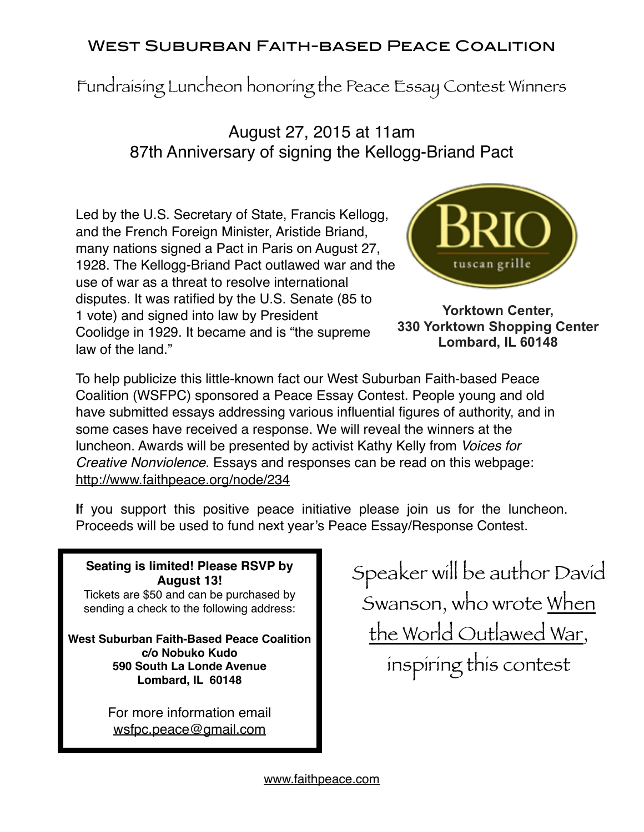## West Suburban Faith-based Peace Coalition

Fundraising Luncheon honoring the Peace Essay Contest Winners

## August 27, 2015 at 11am 87th Anniversary of signing the Kellogg-Briand Pact

Led by the U.S. Secretary of State, Francis Kellogg, and the French Foreign Minister, Aristide Briand, many nations signed a Pact in Paris on August 27, 1928. The Kellogg-Briand Pact outlawed war and the use of war as a threat to resolve international disputes. It was ratified by the U.S. Senate (85 to 1 vote) and signed into law by President Coolidge in 1929. It became and is "the supreme law of the land."



**Yorktown Center, 330 Yorktown Shopping Center Lombard, IL 60148**

To help publicize this little-known fact our West Suburban Faith-based Peace Coalition (WSFPC) sponsored a Peace Essay Contest. People young and old have submitted essays addressing various influential figures of authority, and in some cases have received a response. We will reveal the winners at the luncheon. Awards will be presented by activist Kathy Kelly from *Voices for Creative Nonviolence*. Essays and responses can be read on this webpage: <http://www.faithpeace.org/node/234>

**I**f you support this positive peace initiative please join us for the luncheon. Proceeds will be used to fund next year's Peace Essay/Response Contest.

**Seating is limited! Please RSVP by August 13!** Tickets are \$50 and can be purchased by sending a check to the following address:

**West Suburban Faith-Based Peace Coalition c/o Nobuko Kudo 590 South La Londe Avenue Lombard, IL 60148**

> For more information email [wsfpc.peace@gmail.com](mailto:wsfpc.peace@gmail.com)

Speaker will be author David Swanson, who wrote When the World Outlawed War, inspiring this contest